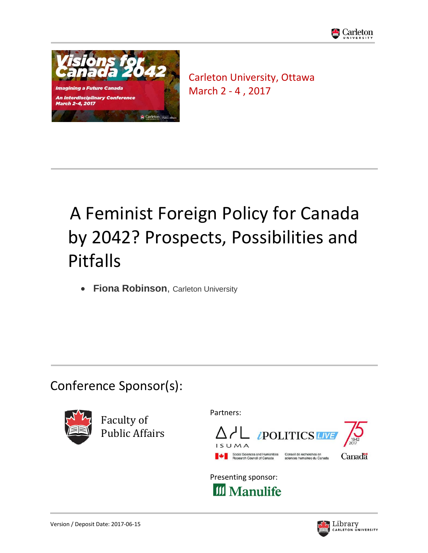



Carleton University, Ottawa March 2 - 4 , 2017

# A Feminist Foreign Policy for Canada by 2042? Prospects, Possibilities and Pitfalls

**• Fiona Robinson**, Carleton University

# Conference Sponsor(s):



Faculty of Public Affairs Partners:



Presenting sponsor: **III** Manulife

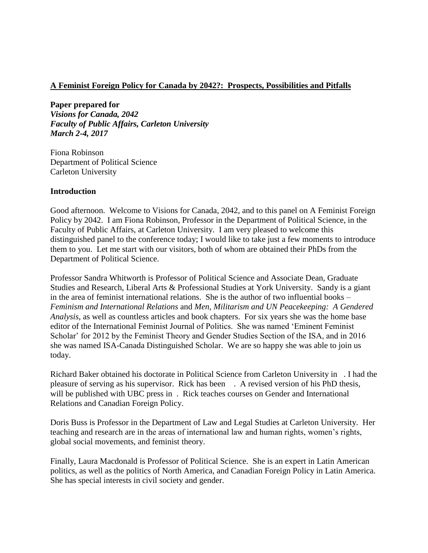## **A Feminist Foreign Policy for Canada by 2042?: Prospects, Possibilities and Pitfalls**

**Paper prepared for**  *Visions for Canada, 2042 Faculty of Public Affairs, Carleton University March 2-4, 2017*

Fiona Robinson Department of Political Science Carleton University

### **Introduction**

Good afternoon. Welcome to Visions for Canada, 2042, and to this panel on A Feminist Foreign Policy by 2042. I am Fiona Robinson, Professor in the Department of Political Science, in the Faculty of Public Affairs, at Carleton University. I am very pleased to welcome this distinguished panel to the conference today; I would like to take just a few moments to introduce them to you. Let me start with our visitors, both of whom are obtained their PhDs from the Department of Political Science.

Professor Sandra Whitworth is Professor of Political Science and Associate Dean, Graduate Studies and Research, Liberal Arts & Professional Studies at York University. Sandy is a giant in the area of feminist international relations. She is the author of two influential books – *Feminism and International Relations* and *Men, Militarism and UN Peacekeeping: A Gendered Analysis*, as well as countless articles and book chapters. For six years she was the home base editor of the International Feminist Journal of Politics. She was named 'Eminent Feminist Scholar' for 2012 by the Feminist Theory and Gender Studies Section of the ISA, and in 2016 she was named ISA-Canada Distinguished Scholar. We are so happy she was able to join us today.

Richard Baker obtained his doctorate in Political Science from Carleton University in . I had the pleasure of serving as his supervisor. Rick has been . A revised version of his PhD thesis, will be published with UBC press in . Rick teaches courses on Gender and International Relations and Canadian Foreign Policy.

Doris Buss is Professor in the Department of Law and Legal Studies at Carleton University. Her teaching and research are in the areas of international law and human rights, women's rights, global social movements, and feminist theory.

Finally, Laura Macdonald is Professor of Political Science. She is an expert in Latin American politics, as well as the politics of North America, and Canadian Foreign Policy in Latin America. She has special interests in civil society and gender.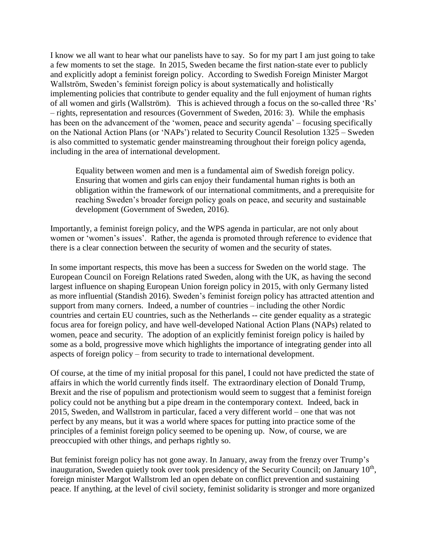I know we all want to hear what our panelists have to say. So for my part I am just going to take a few moments to set the stage. In 2015, Sweden became the first nation-state ever to publicly and explicitly adopt a feminist foreign policy. According to Swedish Foreign Minister Margot Wallström, Sweden's feminist foreign policy is about systematically and holistically implementing policies that contribute to gender equality and the full enjoyment of human rights of all women and girls (Wallström). This is achieved through a focus on the so-called three 'Rs' – rights, representation and resources (Government of Sweden, 2016: 3). While the emphasis has been on the advancement of the 'women, peace and security agenda' – focusing specifically on the National Action Plans (or 'NAPs') related to Security Council Resolution 1325 – Sweden is also committed to systematic gender mainstreaming throughout their foreign policy agenda, including in the area of international development.

Equality between women and men is a fundamental aim of Swedish foreign policy. Ensuring that women and girls can enjoy their fundamental human rights is both an obligation within the framework of our international commitments, and a prerequisite for reaching Sweden's broader foreign policy goals on peace, and security and sustainable development (Government of Sweden, 2016).

Importantly, a feminist foreign policy, and the WPS agenda in particular, are not only about women or 'women's issues'. Rather, the agenda is promoted through reference to evidence that there is a clear connection between the security of women and the security of states.

In some important respects, this move has been a success for Sweden on the world stage. The European Council on Foreign Relations rated Sweden, along with the UK, as having the second largest influence on shaping European Union foreign policy in 2015, with only Germany listed as more influential (Standish 2016). Sweden's feminist foreign policy has attracted attention and support from many corners. Indeed, a number of countries – including the other Nordic countries and certain EU countries, such as the Netherlands -- cite gender equality as a strategic focus area for foreign policy, and have well-developed National Action Plans (NAPs) related to women, peace and security. The adoption of an explicitly feminist foreign policy is hailed by some as a bold, progressive move which highlights the importance of integrating gender into all aspects of foreign policy – from security to trade to international development.

Of course, at the time of my initial proposal for this panel, I could not have predicted the state of affairs in which the world currently finds itself. The extraordinary election of Donald Trump, Brexit and the rise of populism and protectionism would seem to suggest that a feminist foreign policy could not be anything but a pipe dream in the contemporary context. Indeed, back in 2015, Sweden, and Wallstrom in particular, faced a very different world – one that was not perfect by any means, but it was a world where spaces for putting into practice some of the principles of a feminist foreign policy seemed to be opening up. Now, of course, we are preoccupied with other things, and perhaps rightly so.

But feminist foreign policy has not gone away. In January, away from the frenzy over Trump's inauguration, Sweden quietly took over took presidency of the Security Council; on January 10<sup>th</sup>, foreign minister Margot Wallstrom led an open debate on conflict prevention and sustaining peace. If anything, at the level of civil society, feminist solidarity is stronger and more organized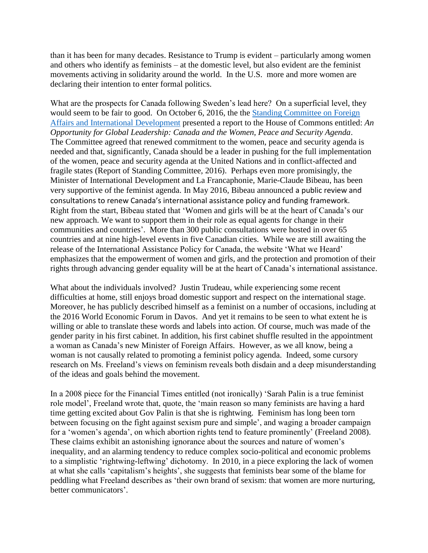than it has been for many decades. Resistance to Trump is evident – particularly among women and others who identify as feminists – at the domestic level, but also evident are the feminist movements activing in solidarity around the world. In the U.S. more and more women are declaring their intention to enter formal politics.

What are the prospects for Canada following Sweden's lead here? On a superficial level, they would seem to be fair to good. On October 6, 2016, the the [Standing Committee on Foreign](http://www.parl.gc.ca/Committees/en/FAAE)  [Affairs and International Development](http://www.parl.gc.ca/Committees/en/FAAE) presented a report to the House of Commons entitled: *An Opportunity for Global Leadership: Canada and the Women, Peace and Security Agenda*. The Committee agreed that renewed commitment to the women, peace and security agenda is needed and that, significantly, Canada should be a leader in pushing for the full implementation of the women, peace and security agenda at the United Nations and in conflict-affected and fragile states (Report of Standing Committee, 2016). Perhaps even more promisingly, the Minister of International Development and La Francaphonie, Marie-Claude Bibeau, has been very supportive of the feminist agenda. In May 2016, Bibeau announced a public review and consultations to renew Canada's international assistance policy and funding framework. Right from the start, Bibeau stated that 'Women and girls will be at the heart of Canada's our new approach. We want to support them in their role as equal agents for change in their communities and countries'. More than 300 public consultations were hosted in over 65 countries and at nine high-level events in five Canadian cities. While we are still awaiting the release of the International Assistance Policy for Canada, the website 'What we Heard' emphasizes that the empowerment of women and girls, and the protection and promotion of their rights through advancing gender equality will be at the heart of Canada's international assistance.

What about the individuals involved? Justin Trudeau, while experiencing some recent difficulties at home, still enjoys broad domestic support and respect on the international stage. Moreover, he has publicly described himself as a feminist on a number of occasions, including at the 2016 World Economic Forum in Davos. And yet it remains to be seen to what extent he is willing or able to translate these words and labels into action. Of course, much was made of the gender parity in his first cabinet. In addition, his first cabinet shuffle resulted in the appointment a woman as Canada's new Minister of Foreign Affairs. However, as we all know, being a woman is not causally related to promoting a feminist policy agenda. Indeed, some cursory research on Ms. Freeland's views on feminism reveals both disdain and a deep misunderstanding of the ideas and goals behind the movement.

In a 2008 piece for the Financial Times entitled (not ironically) 'Sarah Palin is a true feminist role model', Freeland wrote that, quote, the 'main reason so many feminists are having a hard time getting excited about Gov Palin is that she is rightwing. Feminism has long been torn between focusing on the fight against sexism pure and simple', and waging a broader campaign for a 'women's agenda', on which abortion rights tend to feature prominently' (Freeland 2008). These claims exhibit an astonishing ignorance about the sources and nature of women's inequality, and an alarming tendency to reduce complex socio-political and economic problems to a simplistic 'rightwing-leftwing' dichotomy. In 2010, in a piece exploring the lack of women at what she calls 'capitalism's heights', she suggests that feminists bear some of the blame for peddling what Freeland describes as 'their own brand of sexism: that women are more nurturing, better communicators'.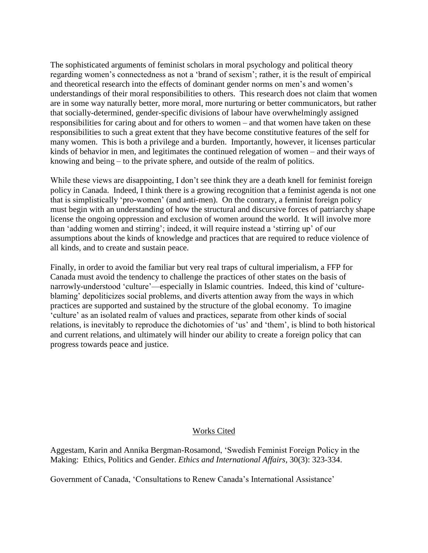The sophisticated arguments of feminist scholars in moral psychology and political theory regarding women's connectedness as not a 'brand of sexism'; rather, it is the result of empirical and theoretical research into the effects of dominant gender norms on men's and women's understandings of their moral responsibilities to others. This research does not claim that women are in some way naturally better, more moral, more nurturing or better communicators, but rather that socially-determined, gender-specific divisions of labour have overwhelmingly assigned responsibilities for caring about and for others to women – and that women have taken on these responsibilities to such a great extent that they have become constitutive features of the self for many women. This is both a privilege and a burden. Importantly, however, it licenses particular kinds of behavior in men, and legitimates the continued relegation of women – and their ways of knowing and being – to the private sphere, and outside of the realm of politics.

While these views are disappointing, I don't see think they are a death knell for feminist foreign policy in Canada. Indeed, I think there is a growing recognition that a feminist agenda is not one that is simplistically 'pro-women' (and anti-men). On the contrary, a feminist foreign policy must begin with an understanding of how the structural and discursive forces of patriarchy shape license the ongoing oppression and exclusion of women around the world. It will involve more than 'adding women and stirring'; indeed, it will require instead a 'stirring up' of our assumptions about the kinds of knowledge and practices that are required to reduce violence of all kinds, and to create and sustain peace.

Finally, in order to avoid the familiar but very real traps of cultural imperialism, a FFP for Canada must avoid the tendency to challenge the practices of other states on the basis of narrowly-understood 'culture'—especially in Islamic countries. Indeed, this kind of 'cultureblaming' depoliticizes social problems, and diverts attention away from the ways in which practices are supported and sustained by the structure of the global economy. To imagine 'culture' as an isolated realm of values and practices, separate from other kinds of social relations, is inevitably to reproduce the dichotomies of 'us' and 'them', is blind to both historical and current relations, and ultimately will hinder our ability to create a foreign policy that can progress towards peace and justice.

### Works Cited

Aggestam, Karin and Annika Bergman-Rosamond, 'Swedish Feminist Foreign Policy in the Making: Ethics, Politics and Gender. *Ethics and International Affairs*, 30(3): 323-334.

Government of Canada, 'Consultations to Renew Canada's International Assistance'